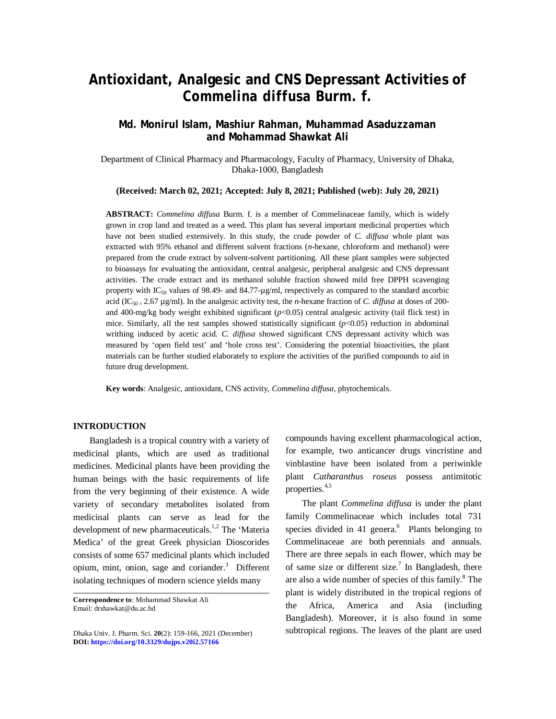# **Antioxidant, Analgesic and CNS Depressant Activities of**  *Commelina diffusa* **Burm. f.**

# **Md. Monirul Islam, Mashiur Rahman, Muhammad Asaduzzaman and Mohammad Shawkat Ali**

Department of Clinical Pharmacy and Pharmacology, Faculty of Pharmacy, University of Dhaka, Dhaka-1000, Bangladesh

**(Received: March 02, 2021; Accepted: July 8, 2021; Published (web): July 20, 2021)**

**ABSTRACT:** *Commelina diffusa* Burm. f. is a member of Commelinaceae family, which is widely grown in crop land and treated as a weed. This plant has several important medicinal properties which have not been studied extensively. In this study, the crude powder of *C. diffusa* whole plant was extracted with 95% ethanol and different solvent fractions (*n*-hexane, chloroform and methanol) were prepared from the crude extract by solvent-solvent partitioning. All these plant samples were subjected to bioassays for evaluating the antioxidant, central analgesic, peripheral analgesic and CNS depressant activities. The crude extract and its methanol soluble fraction showed mild free DPPH scavenging property with  $IC_{50}$  values of 98.49- and 84.77- $\mu$ g/ml, respectively as compared to the standard ascorbic acid (IC<sub>50 =</sub> 2.67 µg/ml). In the analgesic activity test, the *n*-hexane fraction of *C. diffusa* at doses of 200and 400-mg/kg body weight exhibited significant (*p*<0.05) central analgesic activity (tail flick test) in mice. Similarly, all the test samples showed statistically significant ( $p$ <0.05) reduction in abdominal writhing induced by acetic acid. *C. diffusa* showed significant CNS depressant activity which was measured by 'open field test' and 'hole cross test'. Considering the potential bioactivities, the plant materials can be further studied elaborately to explore the activities of the purified compounds to aid in future drug development.

**Key words**: Analgesic, antioxidant, CNS activity, *Commelina diffusa,* phytochemicals.

#### **INTRODUCTION**

Bangladesh is a tropical country with a variety of medicinal plants, which are used as traditional medicines. Medicinal plants have been providing the human beings with the basic requirements of life from the very beginning of their existence. A wide variety of secondary metabolites isolated from medicinal plants can serve as lead for the development of new pharmaceuticals.<sup>1,2</sup> The 'Materia Medica' of the great Greek physician Dioscorides consists of some 657 medicinal plants which included opium, mint, onion, sage and coriander. <sup>3</sup> Different isolating techniques of modern science yields many

Dhaka Univ. J. Pharm. Sci. **20**(2): 159-166, 2021 (December) **DOI:<https://doi.org/10.3329/dujps.v20i2.57166>** 

compounds having excellent pharmacological action, for example, two anticancer drugs vincristine and vinblastine have been isolated from a periwinkle plant *Catharanthus roseus* possess antimitotic properties. 4,5

The plant *Commelina diffusa* is under the plant family Commelinaceae which includes total 731 species divided in 41 genera.<sup>6</sup> Plants belonging to Commelinaceae are both perennials and annuals. There are three sepals in each flower, which may be of same size or different size.<sup>7</sup> In Bangladesh, there are also a wide number of species of this family. <sup>8</sup> The plant is widely distributed in the tropical regions of the Africa, America and Asia (including Bangladesh). Moreover, it is also found in some subtropical regions. The leaves of the plant are used

**Correspondence to**: Mohammad Shawkat Ali Email: [drshawkat@du.ac.bd](mailto:drshawkat@du.ac.bd)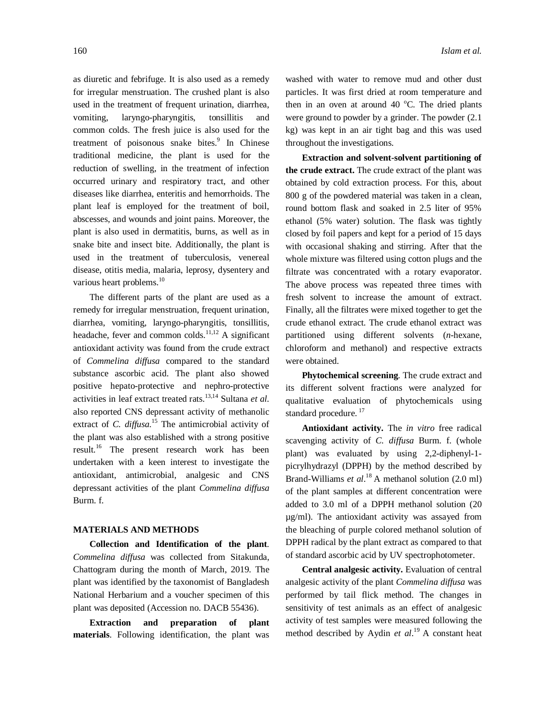as diuretic and febrifuge. It is also used as a remedy for irregular menstruation. The crushed plant is also used in the treatment of frequent urination, diarrhea, vomiting, laryngo-pharyngitis, tonsillitis and common colds. The fresh juice is also used for the treatment of poisonous snake bites.<sup>9</sup> In Chinese traditional medicine, the plant is used for the reduction of swelling, in the treatment of infection occurred urinary and respiratory tract, and other diseases like diarrhea, enteritis and hemorrhoids. The plant leaf is employed for the treatment of boil, abscesses, and wounds and joint pains. Moreover, the plant is also used in dermatitis, burns, as well as in snake bite and insect bite. Additionally, the plant is used in the treatment of tuberculosis, venereal disease, otitis media, malaria, leprosy, dysentery and various heart problems.<sup>10</sup>

The different parts of the plant are used as a remedy for irregular menstruation, frequent urination, diarrhea, vomiting, laryngo-pharyngitis, tonsillitis, headache, fever and common colds.<sup>11,12</sup> A significant antioxidant activity was found from the crude extract of *Commelina diffusa* compared to the standard substance ascorbic acid. The plant also showed positive hepato-protective and nephro-protective activities in leaf extract treated rats. 13,14 Sultana *et al.*  also reported CNS depressant activity of methanolic extract of *C. diffusa.* <sup>15</sup> The antimicrobial activity of the plant was also established with a strong positive result.<sup>16</sup> The present research work has been undertaken with a keen interest to investigate the antioxidant, antimicrobial, analgesic and CNS depressant activities of the plant *Commelina diffusa* Burm. f.

# **MATERIALS AND METHODS**

**Collection and Identification of the plant***. Commelina diffusa* was collected from Sitakunda, Chattogram during the month of March, 2019. The plant was identified by the taxonomist of Bangladesh National Herbarium and a voucher specimen of this plant was deposited (Accession no. DACB 55436).

**Extraction and preparation of plant materials**. Following identification, the plant was washed with water to remove mud and other dust particles. It was first dried at room temperature and then in an oven at around 40  $^{\circ}$ C. The dried plants were ground to powder by a grinder. The powder (2.1 kg) was kept in an air tight bag and this was used throughout the investigations.

**Extraction and solvent-solvent partitioning of the crude extract.** The crude extract of the plant was obtained by cold extraction process. For this, about 800 g of the powdered material was taken in a clean, round bottom flask and soaked in 2.5 liter of 95% ethanol (5% water) solution. The flask was tightly closed by foil papers and kept for a period of 15 days with occasional shaking and stirring. After that the whole mixture was filtered using cotton plugs and the filtrate was concentrated with a rotary evaporator. The above process was repeated three times with fresh solvent to increase the amount of extract. Finally, all the filtrates were mixed together to get the crude ethanol extract. The crude ethanol extract was partitioned using different solvents (*n*-hexane, chloroform and methanol) and respective extracts were obtained.

**Phytochemical screening**. The crude extract and its different solvent fractions were analyzed for qualitative evaluation of phytochemicals using standard procedure.<sup>17</sup>

**Antioxidant activity.** The *in vitro* free radical scavenging activity of *C. diffusa* Burm. f. (whole plant) was evaluated by using 2,2-diphenyl-1 picrylhydrazyl (DPPH) by the method described by Brand-Williams *et al*.<sup>18</sup> A methanol solution (2.0 ml) of the plant samples at different concentration were added to 3.0 ml of a DPPH methanol solution (20 µg/ml). The antioxidant activity was assayed from the bleaching of purple colored methanol solution of DPPH radical by the plant extract as compared to that of standard ascorbic acid by UV spectrophotometer.

**Central analgesic activity.** Evaluation of central analgesic activity of the plant *Commelina diffusa* was performed by tail flick method. The changes in sensitivity of test animals as an effect of analgesic activity of test samples were measured following the method described by Aydin *et al*. <sup>19</sup>A constant heat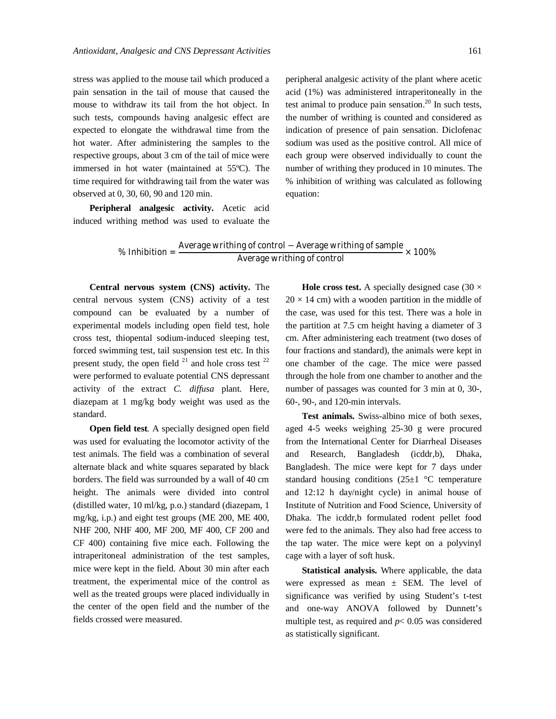stress was applied to the mouse tail which produced a pain sensation in the tail of mouse that caused the mouse to withdraw its tail from the hot object. In such tests, compounds having analgesic effect are expected to elongate the withdrawal time from the hot water. After administering the samples to the respective groups, about 3 cm of the tail of mice were immersed in hot water (maintained at 55ºC). The time required for withdrawing tail from the water was observed at 0, 30, 60, 90 and 120 min.

**Peripheral analgesic activity.** Acetic acid induced writhing method was used to evaluate the peripheral analgesic activity of the plant where acetic acid (1%) was administered intraperitoneally in the test animal to produce pain sensation. <sup>20</sup> In such tests, the number of writhing is counted and considered as indication of presence of pain sensation. Diclofenac sodium was used as the positive control. All mice of each group were observed individually to count the number of writhing they produced in 10 minutes. The % inhibition of writhing was calculated as following equation:

% Inhibition =  $\frac{\text{Average writing of control} - \text{Average writing of sample}}{\text{Average writing of control}} \times 100\%$ 

**Central nervous system (CNS) activity.** The central nervous system (CNS) activity of a test compound can be evaluated by a number of experimental models including open field test, hole cross test, thiopental sodium-induced sleeping test, forced swimming test, tail suspension test etc. In this present study, the open field  $21$  and hole cross test  $22$ were performed to evaluate potential CNS depressant activity of the extract *C. diffusa* plant*.* Here, diazepam at 1 mg/kg body weight was used as the standard.

**Open field test***.* A specially designed open field was used for evaluating the locomotor activity of the test animals. The field was a combination of several alternate black and white squares separated by black borders. The field was surrounded by a wall of 40 cm height. The animals were divided into control (distilled water, 10 ml/kg, p.o.) standard (diazepam, 1 mg/kg, i.p.) and eight test groups (ME 200, ME 400, NHF 200, NHF 400, MF 200, MF 400, CF 200 and CF 400) containing five mice each. Following the intraperitoneal administration of the test samples, mice were kept in the field. About 30 min after each treatment, the experimental mice of the control as well as the treated groups were placed individually in the center of the open field and the number of the fields crossed were measured.

**Hole cross test.** A specially designed case  $(30 \times$  $20 \times 14$  cm) with a wooden partition in the middle of the case, was used for this test. There was a hole in the partition at 7.5 cm height having a diameter of 3 cm. After administering each treatment (two doses of four fractions and standard), the animals were kept in one chamber of the cage. The mice were passed through the hole from one chamber to another and the number of passages was counted for 3 min at 0, 30-, 60-, 90-, and 120-min intervals.

**Test animals.** Swiss-albino mice of both sexes, aged 4-5 weeks weighing 25-30 g were procured from the International Center for Diarrheal Diseases and Research, Bangladesh (icddr,b), Dhaka, Bangladesh. The mice were kept for 7 days under standard housing conditions  $(25\pm1~\degree C$  temperature and 12:12 h day/night cycle) in animal house of Institute of Nutrition and Food Science, University of Dhaka. The icddr,b formulated rodent pellet food were fed to the animals. They also had free access to the tap water. The mice were kept on a polyvinyl cage with a layer of soft husk.

**Statistical analysis.** Where applicable, the data were expressed as mean ± SEM. The level of significance was verified by using Student's t-test and one-way ANOVA followed by Dunnett's multiple test, as required and  $p < 0.05$  was considered as statistically significant.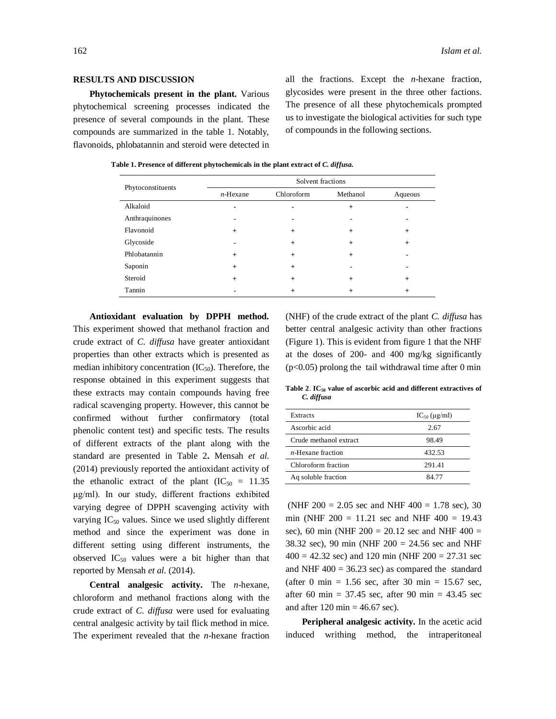#### **RESULTS AND DISCUSSION**

**Phytochemicals present in the plant.** Various phytochemical screening processes indicated the presence of several compounds in the plant. These compounds are summarized in the table 1. Notably, flavonoids, phlobatannin and steroid were detected in all the fractions. Except the *n*-hexane fraction, glycosides were present in the three other factions. The presence of all these phytochemicals prompted us to investigate the biological activities for such type of compounds in the following sections.

| Phytoconstituents | Solvent fractions |            |          |         |  |  |  |
|-------------------|-------------------|------------|----------|---------|--|--|--|
|                   | $n$ -Hexane       | Chloroform | Methanol | Aqueous |  |  |  |
| Alkaloid          |                   |            | $+$      |         |  |  |  |
| Anthraquinones    | ۰                 |            |          |         |  |  |  |
| Flavonoid         | $+$               | $+$        | $+$      | $+$     |  |  |  |
| Glycoside         |                   | $+$        | $+$      | $^{+}$  |  |  |  |
| Phlobatannin      | $+$               | $\ddot{}$  | $+$      |         |  |  |  |
| Saponin           | $+$               | $+$        |          |         |  |  |  |
| Steroid           | $+$               | $+$        | $+$      | $+$     |  |  |  |
| Tannin            |                   | $\ddot{}$  | $+$      | $^{+}$  |  |  |  |

 **Table 1. Presence of different phytochemicals in the plant extract of** *C. diffusa.*

**Antioxidant evaluation by DPPH method.** This experiment showed that methanol fraction and crude extract of *C. diffusa* have greater antioxidant properties than other extracts which is presented as median inhibitory concentration  $(IC_{50})$ . Therefore, the response obtained in this experiment suggests that these extracts may contain compounds having free radical scavenging property. However, this cannot be confirmed without further confirmatory (total phenolic content test) and specific tests. The results of different extracts of the plant along with the standard are presented in Table 2**.** Mensah *et al.*  (2014) previously reported the antioxidant activity of the ethanolic extract of the plant  $(IC_{50} = 11.35)$ μg/ml). In our study, different fractions exhibited varying degree of DPPH scavenging activity with varying  $IC_{50}$  values. Since we used slightly different method and since the experiment was done in different setting using different instruments, the observed  $IC_{50}$  values were a bit higher than that reported by Mensah *et al.* (2014).

**Central analgesic activity.** The *n*-hexane, chloroform and methanol fractions along with the crude extract of *C. diffusa* were used for evaluating central analgesic activity by tail flick method in mice. The experiment revealed that the *n*-hexane fraction (NHF) of the crude extract of the plant *C. diffusa* has better central analgesic activity than other fractions (Figure 1). This is evident from figure 1 that the NHF at the doses of 200- and 400 mg/kg significantly  $(p<0.05)$  prolong the tail withdrawal time after 0 min

**Table 2**. **IC<sup>50</sup> value of ascorbic acid and different extractives of**  *C. diffusa*

| Extracts                  | $IC_{50}$ ( $\mu$ g/ml) |
|---------------------------|-------------------------|
| Ascorbic acid             | 2.67                    |
| Crude methanol extract    | 98.49                   |
| <i>n</i> -Hexane fraction | 432.53                  |
| Chloroform fraction       | 291.41                  |
| Aq soluble fraction       | 84.77                   |

(NHF 200 = 2.05 sec and NHF 400 = 1.78 sec), 30 min (NHF  $200 = 11.21$  sec and NHF  $400 = 19.43$ sec), 60 min (NHF  $200 = 20.12$  sec and NHF  $400 =$ 38.32 sec), 90 min (NHF 200 = 24.56 sec and NHF  $400 = 42.32$  sec) and 120 min (NHF 200 = 27.31 sec and NHF  $400 = 36.23$  sec) as compared the standard (after 0 min =  $1.56$  sec, after 30 min =  $15.67$  sec, after 60 min =  $37.45$  sec, after 90 min =  $43.45$  sec and after  $120 \text{ min} = 46.67 \text{ sec}$ .

**Peripheral analgesic activity.** In the acetic acid induced writhing method, the intraperitoneal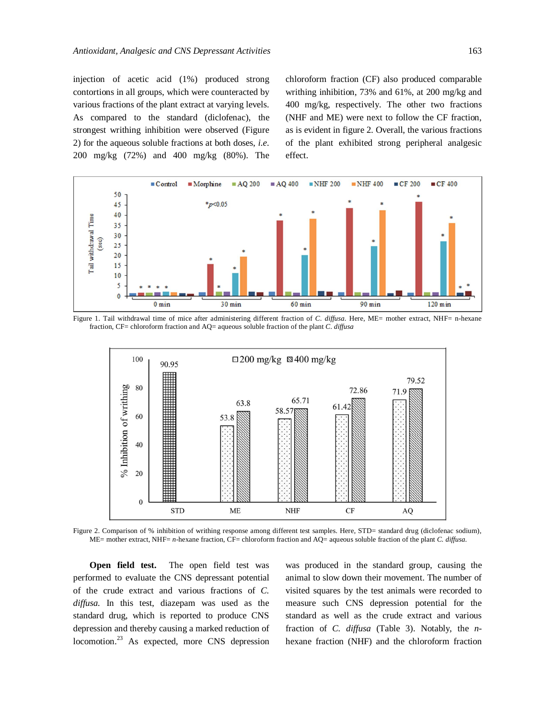injection of acetic acid (1%) produced strong contortions in all groups, which were counteracted by various fractions of the plant extract at varying levels. As compared to the standard (diclofenac), the strongest writhing inhibition were observed (Figure 2) for the aqueous soluble fractions at both doses, *i.e.* 200 mg/kg (72%) and 400 mg/kg (80%). The chloroform fraction (CF) also produced comparable writhing inhibition, 73% and 61%, at 200 mg/kg and 400 mg/kg, respectively. The other two fractions (NHF and ME) were next to follow the CF fraction, as is evident in figure 2. Overall, the various fractions of the plant exhibited strong peripheral analgesic effect.



Figure 1. Tail withdrawal time of mice after administering different fraction of *C. diffusa.* Here, ME= mother extract, NHF= n-hexane fraction, CF= chloroform fraction and AQ= aqueous soluble fraction of the plant *C. diffusa*



Figure 2. Comparison of % inhibition of writhing response among different test samples. Here, STD= standard drug (diclofenac sodium), ME= mother extract, NHF= *n*-hexane fraction, CF= chloroform fraction and AQ= aqueous soluble fraction of the plant *C. diffusa.* 

**Open field test.** The open field test was performed to evaluate the CNS depressant potential of the crude extract and various fractions of *C. diffusa.* In this test, diazepam was used as the standard drug, which is reported to produce CNS depression and thereby causing a marked reduction of locomotion.<sup>23</sup> As expected, more CNS depression was produced in the standard group, causing the animal to slow down their movement. The number of visited squares by the test animals were recorded to measure such CNS depression potential for the standard as well as the crude extract and various fraction of *C. diffusa* (Table 3). Notably, the *n*hexane fraction (NHF) and the chloroform fraction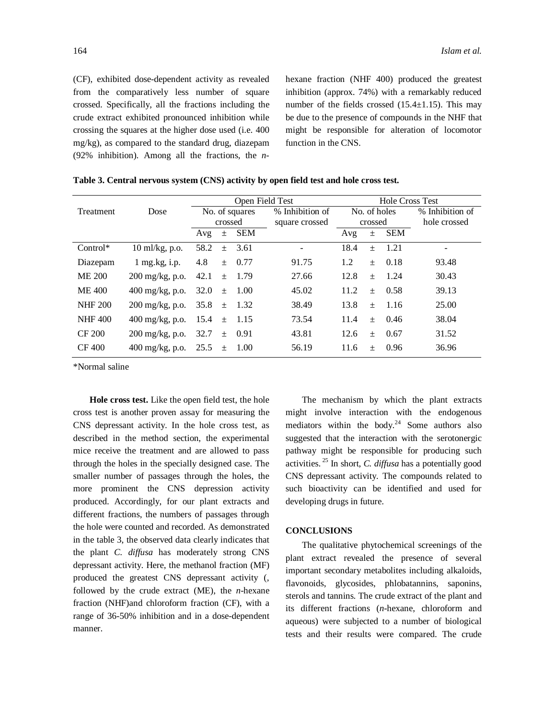(CF), exhibited dose-dependent activity as revealed from the comparatively less number of square crossed. Specifically, all the fractions including the crude extract exhibited pronounced inhibition while crossing the squares at the higher dose used (i.e. 400 mg/kg), as compared to the standard drug, diazepam (92% inhibition). Among all the fractions, the *n*- hexane fraction (NHF 400) produced the greatest inhibition (approx. 74%) with a remarkably reduced number of the fields crossed  $(15.4 \pm 1.15)$ . This may be due to the presence of compounds in the NHF that might be responsible for alteration of locomotor function in the CNS.

|                  | Open Field Test                          |                |       |            | <b>Hole Cross Test</b> |              |       |            |                 |
|------------------|------------------------------------------|----------------|-------|------------|------------------------|--------------|-------|------------|-----------------|
| <b>Treatment</b> | Dose                                     | No. of squares |       |            | % Inhibition of        | No. of holes |       |            | % Inhibition of |
|                  |                                          | crossed        |       |            | square crossed         | crossed      |       |            | hole crossed    |
|                  |                                          | Avg            | $\pm$ | <b>SEM</b> |                        | Avg          | $\pm$ | <b>SEM</b> |                 |
| $Control*$       | 10 ml/kg, p.o.                           | 58.2           | $\pm$ | 3.61       |                        | 18.4         | $+$   | 1.21       |                 |
| Diazepam         | $1$ mg.kg, i.p.                          | 4.8            | $+$   | 0.77       | 91.75                  | 1.2          | $+$   | 0.18       | 93.48           |
| ME 200           | $200 \frac{\text{mg}}{\text{kg}}$ , p.o. | 42.1           |       | $\pm$ 1.79 | 27.66                  | 12.8         | $+$   | 1.24       | 30.43           |
| <b>ME 400</b>    | $400 \,\mathrm{mg/kg}$ , p.o.            | 32.0           | $\pm$ | 1.00       | 45.02                  | 11.2         | $+$   | 0.58       | 39.13           |
| <b>NHF 200</b>   | $200 \frac{\text{mg}}{\text{kg}}$ , p.o. | 35.8           | $+$   | 1.32       | 38.49                  | 13.8         | $+$   | -1.16      | 25.00           |
| <b>NHF 400</b>   | 400 mg/kg, p.o.                          | 15.4           | $\pm$ | 1.15       | 73.54                  | 11.4         | $+$   | 0.46       | 38.04           |
| CF 200           | $200 \frac{\text{mg}}{\text{kg}}$ , p.o. | 32.7           |       | $\pm$ 0.91 | 43.81                  | 12.6         | $+$   | 0.67       | 31.52           |
| CF 400           | 400 mg/kg, p.o.                          | 25.5           | $\pm$ | 1.00       | 56.19                  | 11.6         | $+$   | 0.96       | 36.96           |

|  | Table 3. Central nervous system (CNS) activity by open field test and hole cross test. |  |  |  |  |
|--|----------------------------------------------------------------------------------------|--|--|--|--|
|  |                                                                                        |  |  |  |  |

\*Normal saline

**Hole cross test.** Like the open field test, the hole cross test is another proven assay for measuring the CNS depressant activity. In the hole cross test, as described in the method section, the experimental mice receive the treatment and are allowed to pass through the holes in the specially designed case. The smaller number of passages through the holes, the more prominent the CNS depression activity produced. Accordingly, for our plant extracts and different fractions, the numbers of passages through the hole were counted and recorded. As demonstrated in the table 3, the observed data clearly indicates that the plant *C. diffusa* has moderately strong CNS depressant activity. Here, the methanol fraction (MF) produced the greatest CNS depressant activity (, followed by the crude extract (ME), the *n*-hexane fraction (NHF)and chloroform fraction (CF), with a range of 36-50% inhibition and in a dose-dependent manner.

The mechanism by which the plant extracts might involve interaction with the endogenous mediators within the body. $24$  Some authors also suggested that the interaction with the serotonergic pathway might be responsible for producing such activities. <sup>25</sup> In short, *C. diffusa* has a potentially good CNS depressant activity. The compounds related to such bioactivity can be identified and used for developing drugs in future.

### **CONCLUSIONS**

The qualitative phytochemical screenings of the plant extract revealed the presence of several important secondary metabolites including alkaloids, flavonoids, glycosides, phlobatannins, saponins, sterols and tannins. The crude extract of the plant and its different fractions (*n-*hexane, chloroform and aqueous) were subjected to a number of biological tests and their results were compared. The crude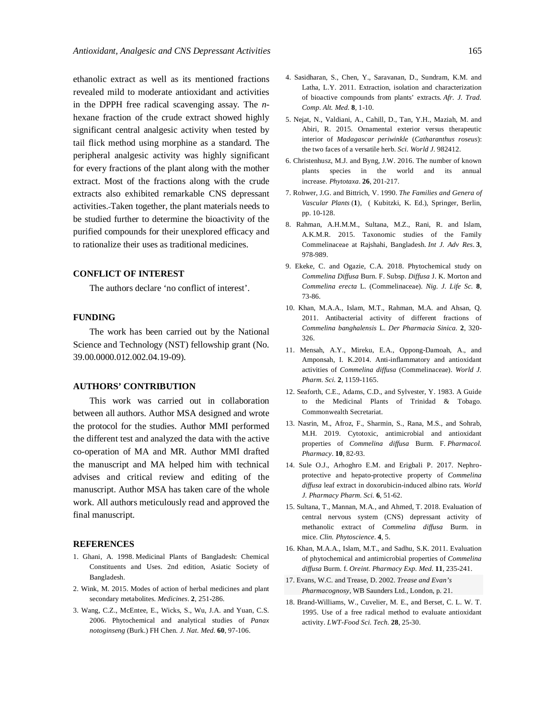ethanolic extract as well as its mentioned fractions revealed mild to moderate antioxidant and activities in the DPPH free radical scavenging assay. The *n*hexane fraction of the crude extract showed highly significant central analgesic activity when tested by tail flick method using morphine as a standard. The peripheral analgesic activity was highly significant for every fractions of the plant along with the mother extract. Most of the fractions along with the crude extracts also exhibited remarkable CNS depressant activities. Taken together, the plant materials needs to be studied further to determine the bioactivity of the purified compounds for their unexplored efficacy and to rationalize their uses as traditional medicines.

# **CONFLICT OF INTEREST**

The authors declare 'no conflict of interest'.

#### **FUNDING**

The work has been carried out by the National Science and Technology (NST) fellowship grant (No. 39.00.0000.012.002.04.19-09).

#### **AUTHORS' CONTRIBUTION**

This work was carried out in collaboration between all authors. Author MSA designed and wrote the protocol for the studies. Author MMI performed the different test and analyzed the data with the active co-operation of MA and MR. Author MMI drafted the manuscript and MA helped him with technical advises and critical review and editing of the manuscript. Author MSA has taken care of the whole work. All authors meticulously read and approved the final manuscript.

### **REFERENCES**

- 1. Ghani, A. 1998. Medicinal Plants of Bangladesh: Chemical Constituents and Uses. 2nd edition, Asiatic Society of Bangladesh.
- 2. Wink, M. 2015. Modes of action of herbal medicines and plant secondary metabolites. *Medicines*. **2**, 251-286.
- 3. Wang, C.Z., McEntee, E., Wicks, S., Wu, J.A. and Yuan, C.S. 2006. Phytochemical and analytical studies of *Panax notoginseng* (Burk.) FH Chen. *J. Nat. Med.* **60**, 97-106.
- 4. Sasidharan, S., Chen, Y., Saravanan, D., Sundram, K.M. and Latha, L.Y. 2011. Extraction, isolation and characterization of bioactive compounds from plants' extracts. *Afr. J. Trad. Comp. Alt. Med.* **8**, 1-10.
- 5. Nejat, N., Valdiani, A., Cahill, D., Tan, Y.H., Maziah, M. and Abiri, R. 2015. Ornamental exterior versus therapeutic interior of *Madagascar periwinkle* (*Catharanthus roseus*): the two faces of a versatile herb. *Sci. World J.* 982412.
- 6. Christenhusz, M.J. and Byng, J.W. 2016. The number of known plants species in the world and its annual increase. *Phytotaxa*. **26**, 201-217.
- 7. Rohwer, J.G. and Bittrich, V. 1990. *The Families and Genera of Vascular Plants* (**1**), ( Kubitzki, K. Ed.), Springer, Berlin, pp. 10-128.
- 8. Rahman, A.H.M.M., Sultana, M.Z., Rani, R. and Islam, A.K.M.R. 2015. Taxonomic studies of the Family Commelinaceae at Rajshahi, Bangladesh. *Int J. Adv Res*. **3**, 978-989.
- 9. Ekeke, C. and Ogazie, C.A. 2018. Phytochemical study on *Commelina Diffusa* Burn. F. Subsp. *Diffusa* J. K. Morton and *Commelina erecta* L. (Commelinaceae). *Nig. J. Life Sc.* **8**, 73-86.
- 10. Khan, M.A.A., Islam, M.T., Rahman, M.A. and Ahsan, Q. 2011. Antibacterial activity of different fractions of *Commelina banghalensis* L. *Der Pharmacia Sinica.* **2**, 320- 326.
- 11. Mensah, A.Y., Mireku, E.A., Oppong-Damoah, A., and Amponsah, I. K.2014. Anti-inflammatory and antioxidant activities of *Commelina diffusa* (Commelinaceae). *World J. Pharm. Sci.* **2**, 1159-1165.
- 12. Seaforth, C.E., Adams, C.D., and Sylvester, Y. 1983. A Guide to the Medicinal Plants of Trinidad & Tobago. Commonwealth Secretariat.
- 13. Nasrin, M., Afroz, F., Sharmin, S., Rana, M.S., and Sohrab, M.H. 2019. Cytotoxic, antimicrobial and antioxidant properties of *Commelina diffusa* Burm. F. *Pharmacol. Pharmacy*. **10**, 82-93.
- 14. Sule O.J., Arhoghro E.M. and Erigbali P. 2017. Nephroprotective and hepato-protective property of *Commelina diffusa* leaf extract in doxorubicin-induced albino rats. *World J. Pharmacy Pharm. Sci.* **6**, 51-62.
- 15. Sultana, T., Mannan, M.A., and Ahmed, T. 2018. Evaluation of central nervous system (CNS) depressant activity of methanolic extract of *Commelina diffusa* Burm. in mice. *Clin. Phytoscience*. **4**, 5.
- 16. Khan, M.A.A., Islam, M.T., and Sadhu, S.K. 2011. Evaluation of phytochemical and antimicrobial properties of *Commelina diffusa* Burm. f. *Oreint. Pharmacy Exp. Med.* **11**, 235-241.
- 17. Evans, W.C. and Trease, D. 2002. *Trease and Evan's Pharmacognosy*, WB Saunders Ltd., London, p. 21.
- 18. Brand-Williams, W., Cuvelier, M. E., and Berset, C. L. W. T. 1995. Use of a free radical method to evaluate antioxidant activity. *LWT-Food Sci. Tech.* **28**, 25-30.